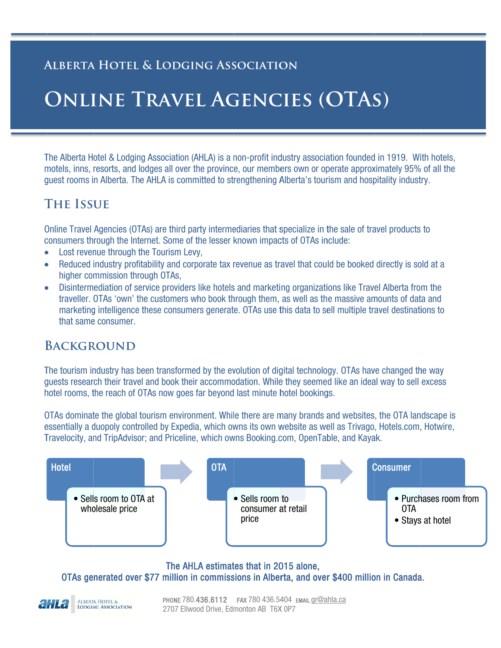### **ALBERTA HOTEL & LODGING ASSOCIATION**

## **ONLINE TRAVEL AGENCIES (OTAS)**

The Alberta Hotel & Lodging Association (AHLA) is a non-profit industry association founded in 1919. With hotels, motels, inns, resorts, and lodges all over the province, our members own or operate approximately 95% of all the guest rooms in Alberta. The AHLA is committed to strengthening Alberta's tourism and hospitality industry.

### **THE ISSUE**

Online Travel Agencies (OTAs) are third party intermediaries that specialize in the sale of travel products to consumers through the Internet. Some of the lesser known impacts of OTAs include:

- Lost revenue through the Tourism Levy,
- Reduced industry profitability and corporate tax revenue as travel that could be booked directly is sold at a higher commission through OTAs.
- Disintermediation of service providers like hotels and marketing organizations like Travel Alberta from the traveller. OTAs 'own' the customers who book through them, as well as the massive amounts of data and marketing intelligence these consumers generate. OTAs use this data to sell multiple travel destinations to that same consumer.

### **BACKGROUND**

ALBERTA HOTEL &<br>LODGING ASSOCIATION

The tourism industry has been transformed by the evolution of digital technology. OTAs have changed the way quests research their travel and book their accommodation. While they seemed like an ideal way to sell excess hotel rooms, the reach of OTAs now goes far bevond last minute hotel bookings.

OTAs dominate the global tourism environment. While there are many brands and websites, the OTA landscape is essentially a duopoly controlled by Expedia, which owns its own website as well as Trivago, Hotels.com, Hotwire, Travelocity, and TripAdvisor; and Priceline, which owns Booking.com, OpenTable, and Kayak.



The AHLA estimates that in 2015 alone,

OTAs generated over \$77 million in commissions in Alberta, and over \$400 million in Canada.